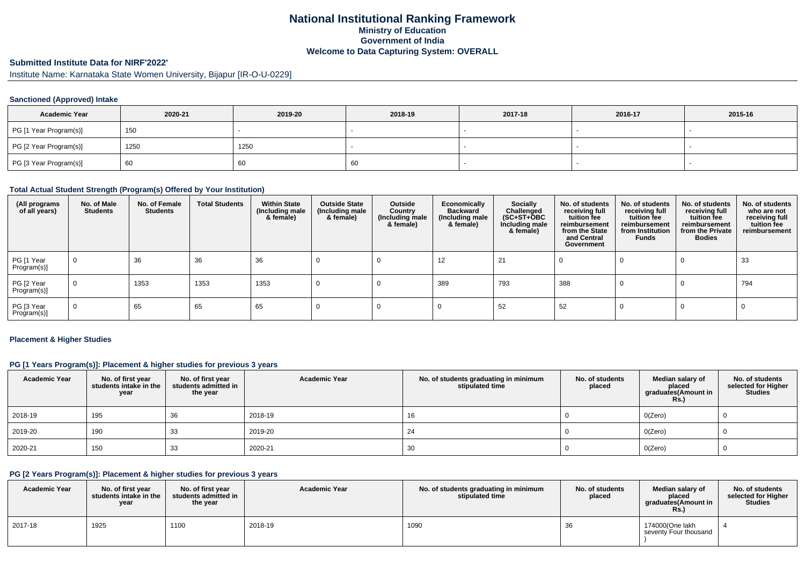# **National Institutional Ranking FrameworkMinistry of Education Government of IndiaWelcome to Data Capturing System: OVERALL**

# **Submitted Institute Data for NIRF'2022'**

Institute Name: Karnataka State Women University, Bijapur [IR-O-U-0229]

### **Sanctioned (Approved) Intake**

| <b>Academic Year</b>   | 2020-21 | 2019-20 | 2018-19 | 2017-18 | 2016-17 | 2015-16 |
|------------------------|---------|---------|---------|---------|---------|---------|
| PG [1 Year Program(s)] | 150     |         |         |         |         |         |
| PG [2 Year Program(s)] | 1250    | 1250    |         |         |         |         |
| PG [3 Year Program(s)] | 60      | 60      | 60      |         |         |         |

#### **Total Actual Student Strength (Program(s) Offered by Your Institution)**

| (All programs<br>of all years) | No. of Male<br><b>Students</b> | No. of Female<br><b>Students</b> | <b>Total Students</b> | <b>Within State</b><br>(Including male<br>& female) | <b>Outside State</b><br>(Including male<br>& female) | Outside<br>Country<br>(Including male<br>& female) | Economically<br><b>Backward</b><br>(Including male<br>& female) | <b>Socially</b><br>Challenged<br>$(SC+ST+\text{O}BC)$<br>Including male<br>& female) | No. of students<br>receiving full<br>tuition fee<br>reimbursement<br>from the State<br>and Central<br>Government | No. of students<br>receiving full<br>tuition fee<br>reimbursement<br>from Institution<br><b>Funds</b> | No. of students<br>receiving full<br>tuition fee<br>reimbursement<br>from the Private<br><b>Bodies</b> | No. of students<br>who are not<br>receiving full<br>tuition fee<br>reimbursement |
|--------------------------------|--------------------------------|----------------------------------|-----------------------|-----------------------------------------------------|------------------------------------------------------|----------------------------------------------------|-----------------------------------------------------------------|--------------------------------------------------------------------------------------|------------------------------------------------------------------------------------------------------------------|-------------------------------------------------------------------------------------------------------|--------------------------------------------------------------------------------------------------------|----------------------------------------------------------------------------------|
| PG [1 Year<br>Program(s)]      | 0                              | 36                               | 36                    | 36                                                  |                                                      |                                                    | 12                                                              | 21                                                                                   |                                                                                                                  |                                                                                                       |                                                                                                        | 33                                                                               |
| PG [2 Year<br>Program(s)]      | $\mathbf 0$                    | 1353                             | 1353                  | 1353                                                |                                                      |                                                    | 389                                                             | 793                                                                                  | 388                                                                                                              |                                                                                                       | - U                                                                                                    | 794                                                                              |
| PG [3 Year<br>Program(s)]      | $\mathbf 0$                    | 65                               | 65                    | 65                                                  |                                                      |                                                    |                                                                 | 52                                                                                   | 52                                                                                                               |                                                                                                       |                                                                                                        |                                                                                  |

#### **Placement & Higher Studies**

### **PG [1 Years Program(s)]: Placement & higher studies for previous 3 years**

| <b>Academic Year</b> | No. of first year<br>students intake in the<br>year | No. of first year<br>students admitted in<br>the year | <b>Academic Year</b> | No. of students graduating in minimum<br>stipulated time | No. of students<br>placed | Median salary of<br>placed<br>graduates(Amount in<br><b>Rs.)</b> | No. of students<br>selected for Higher<br><b>Studies</b> |
|----------------------|-----------------------------------------------------|-------------------------------------------------------|----------------------|----------------------------------------------------------|---------------------------|------------------------------------------------------------------|----------------------------------------------------------|
| 2018-19              | 195                                                 | 36                                                    | 2018-19              | 16                                                       |                           | O(Zero)                                                          |                                                          |
| 2019-20              | 190                                                 | 33                                                    | 2019-20              | 24                                                       |                           | O(Zero)                                                          |                                                          |
| 2020-21              | 150                                                 | 33                                                    | 2020-21              | 30                                                       |                           | O(Zero)                                                          |                                                          |

### **PG [2 Years Program(s)]: Placement & higher studies for previous 3 years**

| <b>Academic Year</b> | No. of first vear<br>students intake in the<br>year | No. of first vear<br>students admitted in<br>the year | <b>Academic Year</b> | No. of students graduating in minimum<br>stipulated time | No. of students<br>placed | Median salary of<br>placed<br>graduates(Amount in<br><b>Rs.)</b> | No. of students<br>selected for Higher<br><b>Studies</b> |
|----------------------|-----------------------------------------------------|-------------------------------------------------------|----------------------|----------------------------------------------------------|---------------------------|------------------------------------------------------------------|----------------------------------------------------------|
| 2017-18              | 1925                                                | 1100                                                  | 2018-19              | 1090                                                     | - JU                      | 174000(One lakh<br>seventy Four thousand                         |                                                          |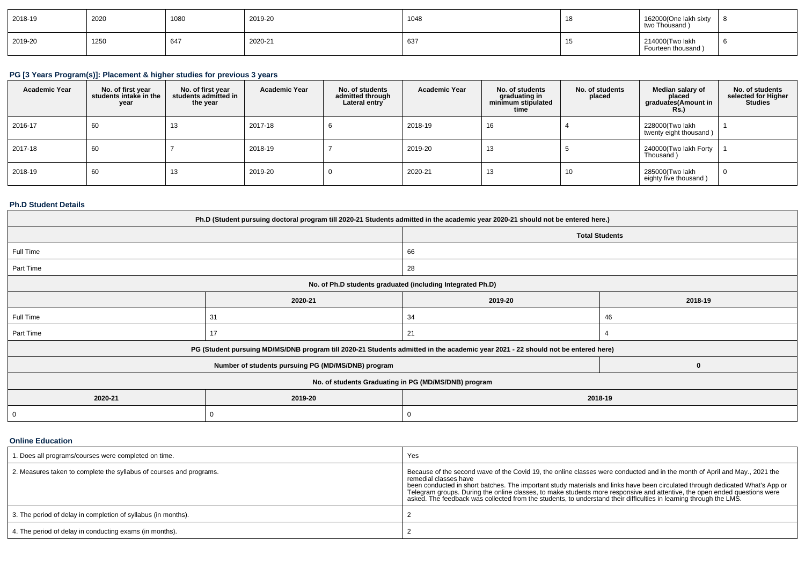| 2018-19 | 2020 | 1080 | 2019-20 | 1048 | $\triangleleft$ C<br>1 С | 162000(One lakh sixty<br>two Thousand $\lambda$ | റ |
|---------|------|------|---------|------|--------------------------|-------------------------------------------------|---|
| 2019-20 | 1250 | 647  | 2020-21 | 637  | . .                      | 214000(Two lakh<br>Fourteen thousand)           |   |

# **PG [3 Years Program(s)]: Placement & higher studies for previous 3 years**

| <b>Academic Year</b> | No. of first year<br>students intake in the<br>year | No. of first year<br>students admitted in<br>the year | <b>Academic Year</b> | No. of students<br>admitted through<br>Lateral entry | <b>Academic Year</b> | No. of students<br>graduating in<br>minimum stipulated<br>time | No. of students<br>placed | Median salary of<br>placed<br>graduates (Amount in<br>Rs.) | No. of students<br>selected for Higher<br><b>Studies</b> |
|----------------------|-----------------------------------------------------|-------------------------------------------------------|----------------------|------------------------------------------------------|----------------------|----------------------------------------------------------------|---------------------------|------------------------------------------------------------|----------------------------------------------------------|
| 2016-17              | 60                                                  | 13                                                    | 2017-18              |                                                      | 2018-19              | 16                                                             |                           | 228000(Two lakh<br>twenty eight thousand)                  |                                                          |
| 2017-18              | 60                                                  |                                                       | 2018-19              |                                                      | 2019-20              | 13                                                             |                           | 240000(Two lakh Forty<br>Thousand)                         |                                                          |
| 2018-19              | 60                                                  | 13                                                    | 2019-20              |                                                      | 2020-21              | 13                                                             | 10                        | 285000(Two lakh<br>eighty five thousand)                   |                                                          |

### **Ph.D Student Details**

| Ph.D (Student pursuing doctoral program till 2020-21 Students admitted in the academic year 2020-21 should not be entered here.) |                                                    |                                                                                                                                  |          |  |  |
|----------------------------------------------------------------------------------------------------------------------------------|----------------------------------------------------|----------------------------------------------------------------------------------------------------------------------------------|----------|--|--|
|                                                                                                                                  |                                                    | <b>Total Students</b>                                                                                                            |          |  |  |
| Full Time                                                                                                                        |                                                    | 66                                                                                                                               |          |  |  |
| Part Time                                                                                                                        |                                                    | 28                                                                                                                               |          |  |  |
|                                                                                                                                  |                                                    | No. of Ph.D students graduated (including Integrated Ph.D)                                                                       |          |  |  |
|                                                                                                                                  | 2020-21<br>2019-20<br>2018-19                      |                                                                                                                                  |          |  |  |
| Full Time                                                                                                                        | 31                                                 | 34                                                                                                                               | 46       |  |  |
| Part Time                                                                                                                        | 17                                                 | 21                                                                                                                               |          |  |  |
|                                                                                                                                  |                                                    | PG (Student pursuing MD/MS/DNB program till 2020-21 Students admitted in the academic year 2021 - 22 should not be entered here) |          |  |  |
|                                                                                                                                  | Number of students pursuing PG (MD/MS/DNB) program |                                                                                                                                  | $\bf{0}$ |  |  |
| No. of students Graduating in PG (MD/MS/DNB) program                                                                             |                                                    |                                                                                                                                  |          |  |  |
| 2020-21<br>2019-20<br>2018-19                                                                                                    |                                                    |                                                                                                                                  |          |  |  |
| 0                                                                                                                                | 0                                                  |                                                                                                                                  |          |  |  |

**Online Education**

| 1. Does all programs/courses were completed on time.                | Yes                                                                                                                                                                                                                                                                                                                                                                                                                                                                                                                                     |
|---------------------------------------------------------------------|-----------------------------------------------------------------------------------------------------------------------------------------------------------------------------------------------------------------------------------------------------------------------------------------------------------------------------------------------------------------------------------------------------------------------------------------------------------------------------------------------------------------------------------------|
| 2. Measures taken to complete the syllabus of courses and programs. | Because of the second wave of the Covid 19, the online classes were conducted and in the month of April and May., 2021 the<br>remedial classes have<br>been conducted in short batches. The important study materials and links have been circulated through dedicated What's App or<br>Telegram groups. During the online classes, to make students more responsive and attentive, the open ended questions were<br>asked. The feedback was collected from the students, to understand their difficulties in learning through the LMS. |
| 3. The period of delay in completion of syllabus (in months).       |                                                                                                                                                                                                                                                                                                                                                                                                                                                                                                                                         |
| 4. The period of delay in conducting exams (in months).             |                                                                                                                                                                                                                                                                                                                                                                                                                                                                                                                                         |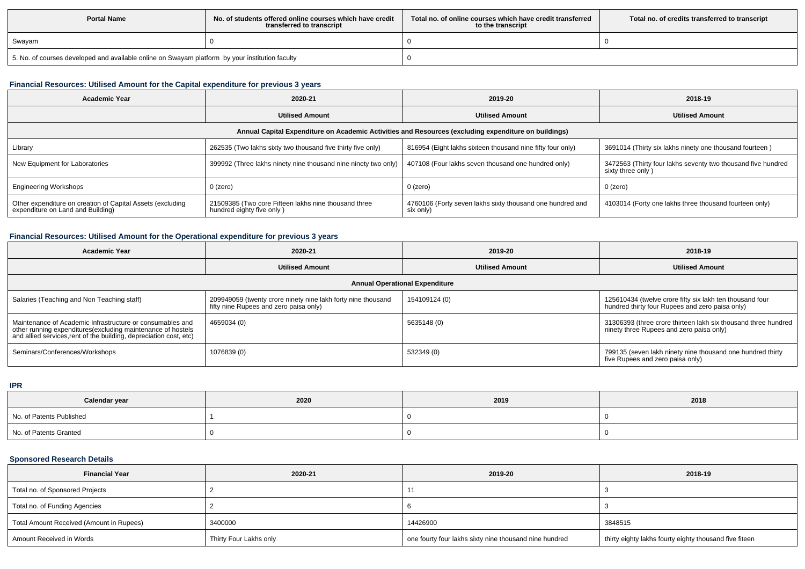| <b>Portal Name</b>                                                                              | No, of students offered online courses which have credit<br>transferred to transcript | Total no, of online courses which have credit transferred<br>to the transcript | Total no. of credits transferred to transcript |
|-------------------------------------------------------------------------------------------------|---------------------------------------------------------------------------------------|--------------------------------------------------------------------------------|------------------------------------------------|
| Swayam                                                                                          |                                                                                       |                                                                                |                                                |
| 5. No. of courses developed and available online on Swayam platform by your institution faculty |                                                                                       |                                                                                |                                                |

# **Financial Resources: Utilised Amount for the Capital expenditure for previous 3 years**

| <b>Academic Year</b>                                                                            | 2020-21                                                                           | 2019-20                                                                                              | 2018-19                                                                           |
|-------------------------------------------------------------------------------------------------|-----------------------------------------------------------------------------------|------------------------------------------------------------------------------------------------------|-----------------------------------------------------------------------------------|
|                                                                                                 | <b>Utilised Amount</b>                                                            | <b>Utilised Amount</b>                                                                               | <b>Utilised Amount</b>                                                            |
|                                                                                                 |                                                                                   | Annual Capital Expenditure on Academic Activities and Resources (excluding expenditure on buildings) |                                                                                   |
| Library                                                                                         | 262535 (Two lakhs sixty two thousand five thirty five only)                       | 816954 (Eight lakhs sixteen thousand nine fifty four only)                                           | 3691014 (Thirty six lakhs ninety one thousand fourteen)                           |
| New Equipment for Laboratories                                                                  | 399992 (Three lakhs ninety nine thousand nine ninety two only)                    | 407108 (Four lakhs seven thousand one hundred only)                                                  | 3472563 (Thirty four lakhs seventy two thousand five hundred<br>sixty three only) |
| <b>Engineering Workshops</b>                                                                    | $0$ (zero)                                                                        | $0$ (zero)                                                                                           | $0$ (zero)                                                                        |
| Other expenditure on creation of Capital Assets (excluding<br>expenditure on Land and Building) | 21509385 (Two core Fifteen lakhs nine thousand three<br>hundred eighty five only) | 4760106 (Forty seven lakhs sixty thousand one hundred and<br>six only)                               | 4103014 (Forty one lakhs three thousand fourteen only)                            |

### **Financial Resources: Utilised Amount for the Operational expenditure for previous 3 years**

| Academic Year                                                                                                                                                                                  | 2020-21                                                                                                | 2019-20                | 2018-19                                                                                                     |  |  |  |  |
|------------------------------------------------------------------------------------------------------------------------------------------------------------------------------------------------|--------------------------------------------------------------------------------------------------------|------------------------|-------------------------------------------------------------------------------------------------------------|--|--|--|--|
|                                                                                                                                                                                                | <b>Utilised Amount</b>                                                                                 | <b>Utilised Amount</b> | <b>Utilised Amount</b>                                                                                      |  |  |  |  |
| <b>Annual Operational Expenditure</b>                                                                                                                                                          |                                                                                                        |                        |                                                                                                             |  |  |  |  |
| Salaries (Teaching and Non Teaching staff)                                                                                                                                                     | 209949059 (twenty crore ninety nine lakh forty nine thousand<br>fifty nine Rupees and zero paisa only) | 154109124 (0)          | 125610434 (twelve crore fifty six lakh ten thousand four<br>hundred thirty four Rupees and zero paisa only) |  |  |  |  |
| Maintenance of Academic Infrastructure or consumables and<br>other running expenditures(excluding maintenance of hostels<br>and allied services, rent of the building, depreciation cost, etc) | 4659034 (0)                                                                                            | 5635148 (0)            | 31306393 (three crore thirteen lakh six thousand three hundred<br>ninety three Rupees and zero paisa only)  |  |  |  |  |
| Seminars/Conferences/Workshops                                                                                                                                                                 | 1076839 (0)                                                                                            | 532349 (0)             | 799135 (seven lakh ninety nine thousand one hundred thirty<br>five Rupees and zero paisa only)              |  |  |  |  |

#### **IPR**

| Calendar year            | 2020 | 2019 | 2018 |
|--------------------------|------|------|------|
| No. of Patents Published |      |      |      |
| No. of Patents Granted   |      |      |      |

# **Sponsored Research Details**

| <b>Financial Year</b>                    | 2020-21                | 2019-20                                                | 2018-19                                                |
|------------------------------------------|------------------------|--------------------------------------------------------|--------------------------------------------------------|
| Total no. of Sponsored Projects          |                        |                                                        |                                                        |
| Total no. of Funding Agencies            |                        |                                                        |                                                        |
| Total Amount Received (Amount in Rupees) | 3400000                | 14426900                                               | 3848515                                                |
| Amount Received in Words                 | Thirty Four Lakhs only | one fourty four lakhs sixty nine thousand nine hundred | thirty eighty lakhs fourty eighty thousand five fiteen |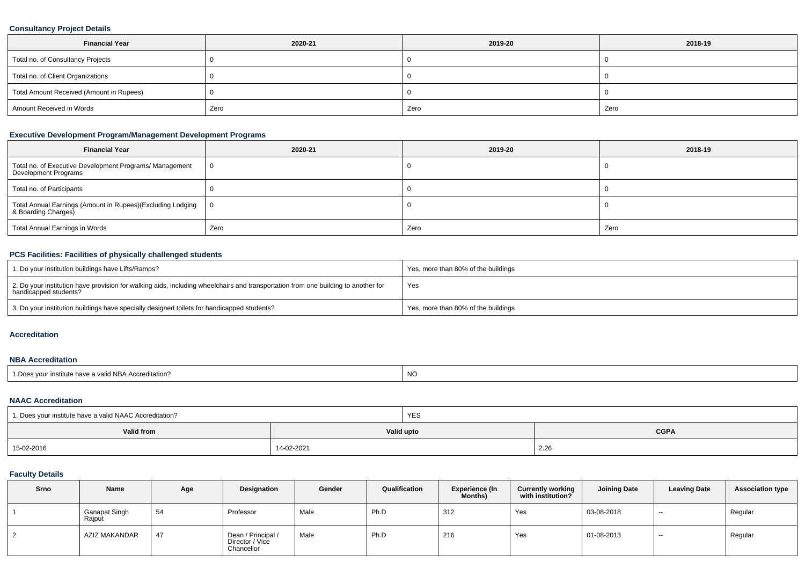# **Consultancy Project Details**

| <b>Financial Year</b>                    | 2020-21 | 2019-20 | 2018-19 |  |
|------------------------------------------|---------|---------|---------|--|
| Total no. of Consultancy Projects        |         |         |         |  |
| Total no. of Client Organizations        |         |         |         |  |
| Total Amount Received (Amount in Rupees) |         |         |         |  |
| Amount Received in Words                 | Zero    | Zero    | Zero    |  |

# **Executive Development Program/Management Development Programs**

| <b>Financial Year</b>                                                                  | 2020-21 | 2019-20 | 2018-19 |
|----------------------------------------------------------------------------------------|---------|---------|---------|
| Total no. of Executive Development Programs/ Management<br><b>Development Programs</b> |         |         |         |
| Total no. of Participants                                                              |         |         |         |
| Total Annual Earnings (Amount in Rupees)(Excluding Lodging   8 Boarding Charges)       |         |         |         |
| Total Annual Earnings in Words                                                         | Zero    | Zero    | Zero    |

### **PCS Facilities: Facilities of physically challenged students**

| 1. Do your institution buildings have Lifts/Ramps?                                                                                                         | Yes, more than 80% of the buildings |
|------------------------------------------------------------------------------------------------------------------------------------------------------------|-------------------------------------|
| 2. Do your institution have provision for walking aids, including wheelchairs and transportation from one building to another for<br>handicapped students? | Yes                                 |
| 3. Do your institution buildings have specially designed toilets for handicapped students?                                                                 | Yes, more than 80% of the buildings |

#### **Accreditation**

#### **NBA Accreditation**

| " <sup>d</sup> NBA Accreditation?<br>NC.<br>' Dooc<br>'e have a valiu<br><sub>ີ</sub> vour institute . |  |  |
|--------------------------------------------------------------------------------------------------------|--|--|
|--------------------------------------------------------------------------------------------------------|--|--|

### **NAAC Accreditation**

| 1. Does your institute have a valid NAAC Accreditation? |            | <b>YES</b> |             |  |  |
|---------------------------------------------------------|------------|------------|-------------|--|--|
| Valid from                                              |            | Valid upto | <b>CGPA</b> |  |  |
| 15-02-2016                                              | 14-02-2021 |            | 2.26        |  |  |

## **Faculty Details**

| <b>Srno</b> | Name                           | Age | Designation                                         | Gender | Qualification | <b>Experience (In</b><br>Months) | <b>Currently working</b><br>with institution? | <b>Joining Date</b> | <b>Leaving Date</b> | <b>Association type</b> |
|-------------|--------------------------------|-----|-----------------------------------------------------|--------|---------------|----------------------------------|-----------------------------------------------|---------------------|---------------------|-------------------------|
|             | <b>Ganapat Singh</b><br>Rajput | 54  | Professor                                           | Male   | Ph.D          | 312                              | Yes                                           | 03-08-2018          | $- -$               | Regular                 |
|             | AZIZ MAKANDAR                  | 47  | Dean / Principal /<br>Director / Vice<br>Chancellor | Male   | Ph.D          | 216                              | Yes                                           | 01-08-2013          | $- -$               | Regular                 |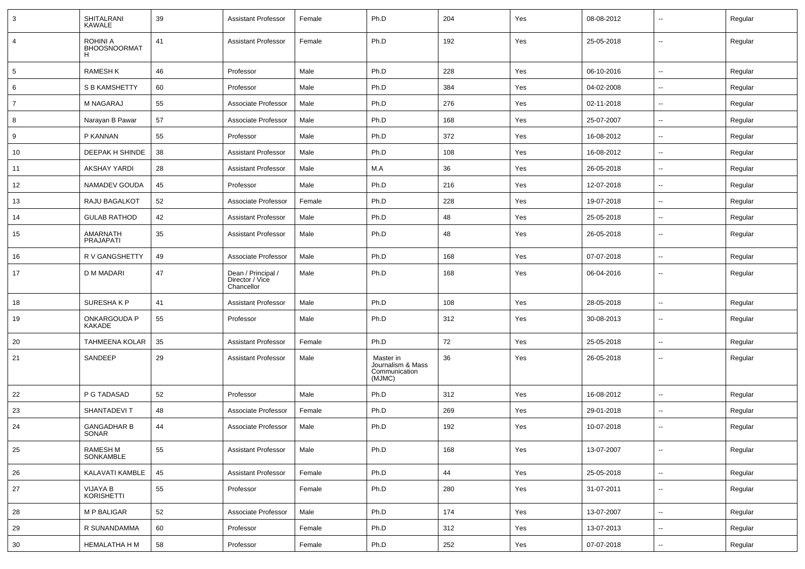| $\mathbf{3}$   | SHITALRANI<br><b>KAWALE</b>                 | 39 | <b>Assistant Professor</b>                          | Female | Ph.D                                                      | 204 | Yes | 08-08-2012 | ۰.                       | Regular |
|----------------|---------------------------------------------|----|-----------------------------------------------------|--------|-----------------------------------------------------------|-----|-----|------------|--------------------------|---------|
| $\overline{4}$ | <b>ROHINI A</b><br><b>BHOOSNOORMAT</b><br>н | 41 | <b>Assistant Professor</b>                          | Female | Ph.D                                                      | 192 | Yes | 25-05-2018 | $\overline{\phantom{a}}$ | Regular |
| 5              | <b>RAMESHK</b>                              | 46 | Professor                                           | Male   | Ph.D                                                      | 228 | Yes | 06-10-2016 | $\overline{\phantom{a}}$ | Regular |
| 6              | S B KAMSHETTY                               | 60 | Professor                                           | Male   | Ph.D                                                      | 384 | Yes | 04-02-2008 | $\overline{\phantom{a}}$ | Regular |
| $\overline{7}$ | <b>M NAGARAJ</b>                            | 55 | Associate Professor                                 | Male   | Ph.D                                                      | 276 | Yes | 02-11-2018 | ۰.                       | Regular |
| 8              | Narayan B Pawar                             | 57 | Associate Professor                                 | Male   | Ph.D                                                      | 168 | Yes | 25-07-2007 | ۰.                       | Regular |
| 9              | P KANNAN                                    | 55 | Professor                                           | Male   | Ph.D                                                      | 372 | Yes | 16-08-2012 | ۰.                       | Regular |
| 10             | DEEPAK H SHINDE                             | 38 | <b>Assistant Professor</b>                          | Male   | Ph.D                                                      | 108 | Yes | 16-08-2012 | --                       | Regular |
| 11             | <b>AKSHAY YARDI</b>                         | 28 | <b>Assistant Professor</b>                          | Male   | M.A                                                       | 36  | Yes | 26-05-2018 | $\overline{\phantom{a}}$ | Regular |
| 12             | NAMADEV GOUDA                               | 45 | Professor                                           | Male   | Ph.D                                                      | 216 | Yes | 12-07-2018 | $\sim$                   | Regular |
| 13             | RAJU BAGALKOT                               | 52 | Associate Professor                                 | Female | Ph.D                                                      | 228 | Yes | 19-07-2018 | ۰.                       | Regular |
| 14             | <b>GULAB RATHOD</b>                         | 42 | <b>Assistant Professor</b>                          | Male   | Ph.D                                                      | 48  | Yes | 25-05-2018 | $\overline{\phantom{a}}$ | Regular |
| 15             | AMARNATH<br>PRAJAPATI                       | 35 | <b>Assistant Professor</b>                          | Male   | Ph.D                                                      | 48  | Yes | 26-05-2018 | $-$                      | Regular |
| 16             | R V GANGSHETTY                              | 49 | Associate Professor                                 | Male   | Ph.D                                                      | 168 | Yes | 07-07-2018 | $\sim$                   | Regular |
| 17             | D M MADARI                                  | 47 | Dean / Principal /<br>Director / Vice<br>Chancellor | Male   | Ph.D                                                      | 168 | Yes | 06-04-2016 | ۰.                       | Regular |
| 18             | SURESHAKP                                   | 41 | <b>Assistant Professor</b>                          | Male   | Ph.D                                                      | 108 | Yes | 28-05-2018 | $\overline{a}$           | Regular |
| 19             | ONKARGOUDA P<br>KAKADE                      | 55 | Professor                                           | Male   | Ph.D                                                      | 312 | Yes | 30-08-2013 | $\overline{a}$           | Regular |
| 20             | <b>TAHMEENA KOLAR</b>                       | 35 | Assistant Professor                                 | Female | Ph.D                                                      | 72  | Yes | 25-05-2018 | $\overline{a}$           | Regular |
| 21             | SANDEEP                                     | 29 | <b>Assistant Professor</b>                          | Male   | Master in<br>Journalism & Mass<br>Communication<br>(MJMC) | 36  | Yes | 26-05-2018 | ۰.                       | Regular |
| 22             | P G TADASAD                                 | 52 | Professor                                           | Male   | Ph.D                                                      | 312 | Yes | 16-08-2012 | $\overline{\phantom{a}}$ | Regular |
| 23             | SHANTADEVIT                                 | 48 | Associate Professor                                 | Female | Ph.D                                                      | 269 | Yes | 29-01-2018 | --                       | Regular |
| 24             | <b>GANGADHAR B</b><br>SONAR                 | 44 | Associate Professor                                 | Male   | Ph.D                                                      | 192 | Yes | 10-07-2018 | $\overline{a}$           | Regular |
| 25             | <b>RAMESH M</b><br>SONKAMBLE                | 55 | <b>Assistant Professor</b>                          | Male   | Ph.D                                                      | 168 | Yes | 13-07-2007 | $\overline{\phantom{a}}$ | Regular |
| 26             | KALAVATI KAMBLE                             | 45 | <b>Assistant Professor</b>                          | Female | Ph.D                                                      | 44  | Yes | 25-05-2018 | $\overline{\phantom{a}}$ | Regular |
| 27             | VIJAYA B<br><b>KORISHETTI</b>               | 55 | Professor                                           | Female | Ph.D                                                      | 280 | Yes | 31-07-2011 | $\overline{\phantom{a}}$ | Regular |
| 28             | <b>M P BALIGAR</b>                          | 52 | Associate Professor                                 | Male   | Ph.D                                                      | 174 | Yes | 13-07-2007 | Ξ.                       | Regular |
| 29             | R SUNANDAMMA                                | 60 | Professor                                           | Female | Ph.D                                                      | 312 | Yes | 13-07-2013 | --                       | Regular |
| 30             | <b>HEMALATHA H M</b>                        | 58 | Professor                                           | Female | Ph.D                                                      | 252 | Yes | 07-07-2018 | --                       | Regular |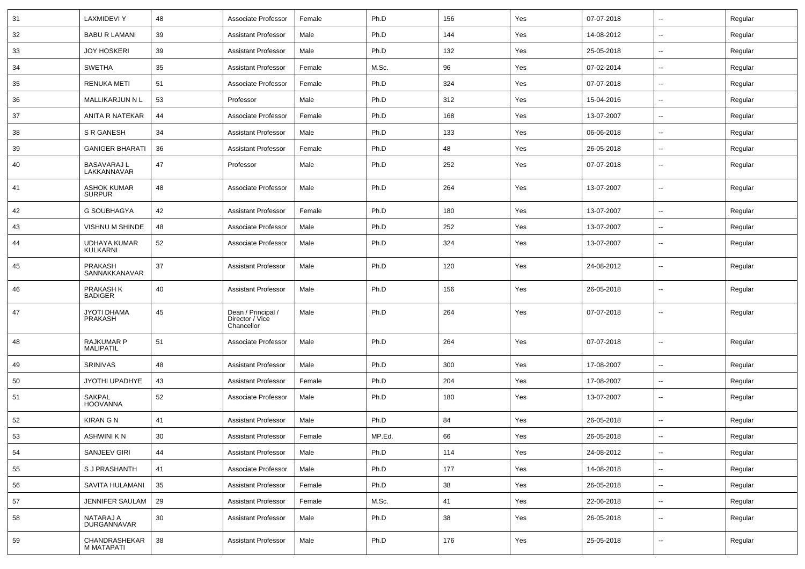| 31 | <b>LAXMIDEVI Y</b>                    | 48 | Associate Professor                                 | Female | Ph.D   | 156 | Yes | 07-07-2018 |                          | Regular |
|----|---------------------------------------|----|-----------------------------------------------------|--------|--------|-----|-----|------------|--------------------------|---------|
| 32 | <b>BABU R LAMANI</b>                  | 39 | <b>Assistant Professor</b>                          | Male   | Ph.D   | 144 | Yes | 14-08-2012 | $\sim$                   | Regular |
| 33 | <b>JOY HOSKERI</b>                    | 39 | <b>Assistant Professor</b>                          | Male   | Ph.D   | 132 | Yes | 25-05-2018 | $\sim$                   | Regular |
| 34 | <b>SWETHA</b>                         | 35 | <b>Assistant Professor</b>                          | Female | M.Sc.  | 96  | Yes | 07-02-2014 | $\sim$                   | Regular |
| 35 | <b>RENUKA METI</b>                    | 51 | Associate Professor                                 | Female | Ph.D   | 324 | Yes | 07-07-2018 | $\overline{\phantom{a}}$ | Regular |
| 36 | MALLIKARJUN N L                       | 53 | Professor                                           | Male   | Ph.D   | 312 | Yes | 15-04-2016 | $\overline{\phantom{a}}$ | Regular |
| 37 | ANITA R NATEKAR                       | 44 | Associate Professor                                 | Female | Ph.D   | 168 | Yes | 13-07-2007 | $\sim$                   | Regular |
| 38 | S R GANESH                            | 34 | <b>Assistant Professor</b>                          | Male   | Ph.D   | 133 | Yes | 06-06-2018 | $\sim$                   | Regular |
| 39 | <b>GANIGER BHARATI</b>                | 36 | <b>Assistant Professor</b>                          | Female | Ph.D   | 48  | Yes | 26-05-2018 | $\sim$                   | Regular |
| 40 | <b>BASAVARAJ L</b><br>LAKKANNAVAR     | 47 | Professor                                           | Male   | Ph.D   | 252 | Yes | 07-07-2018 | $\overline{\phantom{a}}$ | Regular |
| 41 | <b>ASHOK KUMAR</b><br><b>SURPUR</b>   | 48 | Associate Professor                                 | Male   | Ph.D   | 264 | Yes | 13-07-2007 | $\sim$                   | Regular |
| 42 | G SOUBHAGYA                           | 42 | <b>Assistant Professor</b>                          | Female | Ph.D   | 180 | Yes | 13-07-2007 | $\mathbf{u}$             | Regular |
| 43 | VISHNU M SHINDE                       | 48 | Associate Professor                                 | Male   | Ph.D   | 252 | Yes | 13-07-2007 | $\overline{\phantom{a}}$ | Regular |
| 44 | UDHAYA KUMAR<br>KULKARNI              | 52 | Associate Professor                                 | Male   | Ph.D   | 324 | Yes | 13-07-2007 | --                       | Regular |
| 45 | <b>PRAKASH</b><br>SANNAKKANAVAR       | 37 | <b>Assistant Professor</b>                          | Male   | Ph.D   | 120 | Yes | 24-08-2012 | --                       | Regular |
| 46 | PRAKASH K<br><b>BADIGER</b>           | 40 | <b>Assistant Professor</b>                          | Male   | Ph.D   | 156 | Yes | 26-05-2018 | $\overline{\phantom{a}}$ | Regular |
| 47 | JYOTI DHAMA<br><b>PRAKASH</b>         | 45 | Dean / Principal /<br>Director / Vice<br>Chancellor | Male   | Ph.D   | 264 | Yes | 07-07-2018 | $\overline{\phantom{a}}$ | Regular |
| 48 | <b>RAJKUMAR P</b><br><b>MALIPATIL</b> | 51 | Associate Professor                                 | Male   | Ph.D   | 264 | Yes | 07-07-2018 | $\overline{\phantom{a}}$ | Regular |
| 49 | <b>SRINIVAS</b>                       | 48 | <b>Assistant Professor</b>                          | Male   | Ph.D   | 300 | Yes | 17-08-2007 | $\overline{\phantom{a}}$ | Regular |
| 50 | JYOTHI UPADHYE                        | 43 | <b>Assistant Professor</b>                          | Female | Ph.D   | 204 | Yes | 17-08-2007 | $\overline{\phantom{a}}$ | Regular |
| 51 | <b>SAKPAL</b><br><b>HOOVANNA</b>      | 52 | Associate Professor                                 | Male   | Ph.D   | 180 | Yes | 13-07-2007 | $\overline{\phantom{a}}$ | Regular |
| 52 | <b>KIRAN G N</b>                      | 41 | <b>Assistant Professor</b>                          | Male   | Ph.D   | 84  | Yes | 26-05-2018 |                          | Regular |
| 53 | ASHWINI K N                           | 30 | Assistant Professor                                 | Female | MP.Ed. | 66  | Yes | 26-05-2018 |                          | Regular |
| 54 | SANJEEV GIRI                          | 44 | <b>Assistant Professor</b>                          | Male   | Ph.D   | 114 | Yes | 24-08-2012 | $\sim$                   | Regular |
| 55 | <b>SJ PRASHANTH</b>                   | 41 | Associate Professor                                 | Male   | Ph.D   | 177 | Yes | 14-08-2018 | $\sim$                   | Regular |
| 56 | SAVITA HULAMANI                       | 35 | <b>Assistant Professor</b>                          | Female | Ph.D   | 38  | Yes | 26-05-2018 | $\sim$                   | Regular |
| 57 | <b>JENNIFER SAULAM</b>                | 29 | <b>Assistant Professor</b>                          | Female | M.Sc.  | 41  | Yes | 22-06-2018 | $\sim$                   | Regular |
| 58 | NATARAJ A<br>DURGANNAVAR              | 30 | <b>Assistant Professor</b>                          | Male   | Ph.D   | 38  | Yes | 26-05-2018 | $\sim$                   | Regular |
| 59 | CHANDRASHEKAR<br>M MATAPATI           | 38 | <b>Assistant Professor</b>                          | Male   | Ph.D   | 176 | Yes | 25-05-2018 | $\sim$                   | Regular |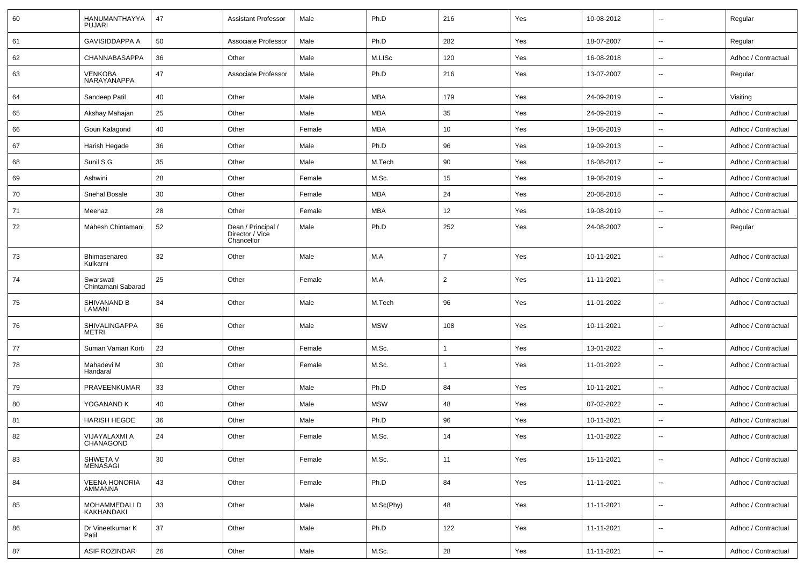| 60 | HANUMANTHAYYA<br><b>PUJARI</b>  | 47 | <b>Assistant Professor</b>                          | Male   | Ph.D       | 216            | Yes | 10-08-2012 | $\sim$                   | Regular             |
|----|---------------------------------|----|-----------------------------------------------------|--------|------------|----------------|-----|------------|--------------------------|---------------------|
| 61 | <b>GAVISIDDAPPA A</b>           | 50 | Associate Professor                                 | Male   | Ph.D       | 282            | Yes | 18-07-2007 | $\overline{\phantom{a}}$ | Regular             |
| 62 | CHANNABASAPPA                   | 36 | Other                                               | Male   | M.LISc     | 120            | Yes | 16-08-2018 | $\overline{\phantom{a}}$ | Adhoc / Contractual |
| 63 | VENKOBA<br>NARAYANAPPA          | 47 | Associate Professor                                 | Male   | Ph.D       | 216            | Yes | 13-07-2007 | $\overline{\phantom{a}}$ | Regular             |
| 64 | Sandeep Patil                   | 40 | Other                                               | Male   | <b>MBA</b> | 179            | Yes | 24-09-2019 | $\overline{\phantom{a}}$ | Visiting            |
| 65 | Akshay Mahajan                  | 25 | Other                                               | Male   | <b>MBA</b> | 35             | Yes | 24-09-2019 | $\overline{\phantom{a}}$ | Adhoc / Contractual |
| 66 | Gouri Kalagond                  | 40 | Other                                               | Female | <b>MBA</b> | 10             | Yes | 19-08-2019 | $\sim$                   | Adhoc / Contractual |
| 67 | Harish Hegade                   | 36 | Other                                               | Male   | Ph.D       | 96             | Yes | 19-09-2013 | $\overline{\phantom{a}}$ | Adhoc / Contractual |
| 68 | Sunil S G                       | 35 | Other                                               | Male   | M.Tech     | 90             | Yes | 16-08-2017 | $\overline{\phantom{a}}$ | Adhoc / Contractual |
| 69 | Ashwini                         | 28 | Other                                               | Female | M.Sc.      | 15             | Yes | 19-08-2019 | $\overline{\phantom{a}}$ | Adhoc / Contractual |
| 70 | Snehal Bosale                   | 30 | Other                                               | Female | MBA        | 24             | Yes | 20-08-2018 | $\overline{\phantom{a}}$ | Adhoc / Contractual |
| 71 | Meenaz                          | 28 | Other                                               | Female | <b>MBA</b> | 12             | Yes | 19-08-2019 | $\sim$                   | Adhoc / Contractual |
| 72 | Mahesh Chintamani               | 52 | Dean / Principal /<br>Director / Vice<br>Chancellor | Male   | Ph.D       | 252            | Yes | 24-08-2007 | $\overline{\phantom{a}}$ | Regular             |
| 73 | Bhimasenareo<br>Kulkarni        | 32 | Other                                               | Male   | M.A        | $\overline{7}$ | Yes | 10-11-2021 | $\overline{\phantom{a}}$ | Adhoc / Contractual |
| 74 | Swarswati<br>Chintamani Sabarad | 25 | Other                                               | Female | M.A        | $\overline{2}$ | Yes | 11-11-2021 | $\sim$                   | Adhoc / Contractual |
| 75 | SHIVANAND B<br>LAMANI           | 34 | Other                                               | Male   | M.Tech     | 96             | Yes | 11-01-2022 | $\sim$                   | Adhoc / Contractual |
| 76 | SHIVALINGAPPA<br><b>METRI</b>   | 36 | Other                                               | Male   | <b>MSW</b> | 108            | Yes | 10-11-2021 | $\overline{\phantom{a}}$ | Adhoc / Contractual |
| 77 | Suman Vaman Korti               | 23 | Other                                               | Female | M.Sc.      |                | Yes | 13-01-2022 | $\sim$                   | Adhoc / Contractual |
| 78 | Mahadevi M<br>Handaral          | 30 | Other                                               | Female | M.Sc.      |                | Yes | 11-01-2022 | $\overline{\phantom{a}}$ | Adhoc / Contractual |
| 79 | PRAVEENKUMAR                    | 33 | Other                                               | Male   | Ph.D       | 84             | Yes | 10-11-2021 | $\overline{\phantom{a}}$ | Adhoc / Contractual |
| 80 | YOGANAND K                      | 40 | Other                                               | Male   | <b>MSW</b> | 48             | Yes | 07-02-2022 | $\overline{\phantom{a}}$ | Adhoc / Contractual |
| 81 | <b>HARISH HEGDE</b>             | 36 | Other                                               | Male   | Ph.D       | 96             | Yes | 10-11-2021 | $\overline{\phantom{a}}$ | Adhoc / Contractual |
| 82 | VIJAYALAXMI A<br>CHANAGOND      | 24 | Other                                               | Female | M.Sc.      | 14             | Yes | 11-01-2022 | $\overline{\phantom{a}}$ | Adhoc / Contractual |
| 83 | SHWETA V<br><b>MENASAGI</b>     | 30 | Other                                               | Female | M.Sc.      | 11             | Yes | 15-11-2021 | $\overline{\phantom{a}}$ | Adhoc / Contractual |
| 84 | <b>VEENA HONORIA</b><br>AMMANNA | 43 | Other                                               | Female | Ph.D       | 84             | Yes | 11-11-2021 | $\overline{\phantom{a}}$ | Adhoc / Contractual |
| 85 | MOHAMMEDALI D<br>KAKHANDAKI     | 33 | Other                                               | Male   | M.Sc(Phy)  | 48             | Yes | 11-11-2021 | $\overline{\phantom{a}}$ | Adhoc / Contractual |
| 86 | Dr Vineetkumar K<br>Patil       | 37 | Other                                               | Male   | Ph.D       | 122            | Yes | 11-11-2021 | $\overline{\phantom{a}}$ | Adhoc / Contractual |
| 87 | <b>ASIF ROZINDAR</b>            | 26 | Other                                               | Male   | M.Sc.      | 28             | Yes | 11-11-2021 | ۰.                       | Adhoc / Contractual |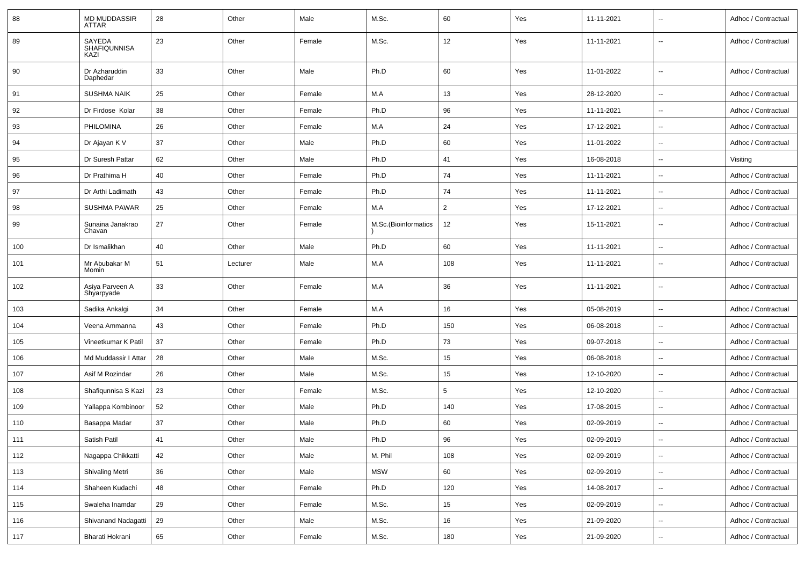| 88    | <b>MD MUDDASSIR</b><br>ATTAR          | 28 | Other    | Male   | M.Sc.                | 60             | Yes | 11-11-2021 | --                       | Adhoc / Contractual |
|-------|---------------------------------------|----|----------|--------|----------------------|----------------|-----|------------|--------------------------|---------------------|
| 89    | SAYEDA<br><b>SHAFIQUNNISA</b><br>KAZI | 23 | Other    | Female | M.Sc.                | 12             | Yes | 11-11-2021 | $\overline{\phantom{a}}$ | Adhoc / Contractual |
| 90    | Dr Azharuddin<br>Daphedar             | 33 | Other    | Male   | Ph.D                 | 60             | Yes | 11-01-2022 | $\overline{\phantom{a}}$ | Adhoc / Contractual |
| 91    | <b>SUSHMA NAIK</b>                    | 25 | Other    | Female | M.A                  | 13             | Yes | 28-12-2020 | $\overline{\phantom{a}}$ | Adhoc / Contractual |
| 92    | Dr Firdose Kolar                      | 38 | Other    | Female | Ph.D                 | 96             | Yes | 11-11-2021 | ⊷.                       | Adhoc / Contractual |
| 93    | PHILOMINA                             | 26 | Other    | Female | M.A                  | 24             | Yes | 17-12-2021 | $\overline{\phantom{a}}$ | Adhoc / Contractual |
| 94    | Dr Ajayan K V                         | 37 | Other    | Male   | Ph.D                 | 60             | Yes | 11-01-2022 | --                       | Adhoc / Contractual |
| 95    | Dr Suresh Pattar                      | 62 | Other    | Male   | Ph.D                 | 41             | Yes | 16-08-2018 | --                       | Visiting            |
| 96    | Dr Prathima H                         | 40 | Other    | Female | Ph.D                 | 74             | Yes | 11-11-2021 | Ξ.                       | Adhoc / Contractual |
| 97    | Dr Arthi Ladimath                     | 43 | Other    | Female | Ph.D                 | 74             | Yes | 11-11-2021 | $\overline{\phantom{a}}$ | Adhoc / Contractual |
| 98    | <b>SUSHMA PAWAR</b>                   | 25 | Other    | Female | M.A                  | $\overline{2}$ | Yes | 17-12-2021 | ⊷.                       | Adhoc / Contractual |
| 99    | Sunaina Janakrao<br>Chavan            | 27 | Other    | Female | M.Sc.(Bioinformatics | 12             | Yes | 15-11-2021 | --                       | Adhoc / Contractual |
| 100   | Dr Ismalikhan                         | 40 | Other    | Male   | Ph.D                 | 60             | Yes | 11-11-2021 | $\overline{a}$           | Adhoc / Contractual |
| 101   | Mr Abubakar M<br>Momin                | 51 | Lecturer | Male   | M.A                  | 108            | Yes | 11-11-2021 | $\overline{\phantom{a}}$ | Adhoc / Contractual |
| 102   | Asiya Parveen A<br>Shyarpyade         | 33 | Other    | Female | M.A                  | 36             | Yes | 11-11-2021 | ц.                       | Adhoc / Contractual |
| 103   | Sadika Ankalgi                        | 34 | Other    | Female | M.A                  | 16             | Yes | 05-08-2019 | --                       | Adhoc / Contractual |
| 104   | Veena Ammanna                         | 43 | Other    | Female | Ph.D                 | 150            | Yes | 06-08-2018 | --                       | Adhoc / Contractual |
| 105   | Vineetkumar K Patil                   | 37 | Other    | Female | Ph.D                 | 73             | Yes | 09-07-2018 | $\overline{\phantom{a}}$ | Adhoc / Contractual |
| 106   | Md Muddassir I Attar                  | 28 | Other    | Male   | M.Sc.                | 15             | Yes | 06-08-2018 | $\overline{\phantom{a}}$ | Adhoc / Contractual |
| 107   | Asif M Rozindar                       | 26 | Other    | Male   | M.Sc.                | 15             | Yes | 12-10-2020 | ⊷.                       | Adhoc / Contractual |
| 108   | Shafiqunnisa S Kazi                   | 23 | Other    | Female | M.Sc.                | 5              | Yes | 12-10-2020 | $\sim$                   | Adhoc / Contractual |
| 109   | Yallappa Kombinoor                    | 52 | Other    | Male   | Ph.D                 | 140            | Yes | 17-08-2015 |                          | Adhoc / Contractual |
| 110   | Basappa Madar                         | 37 | Other    | Male   | Ph.D                 | 60             | Yes | 02-09-2019 | --                       | Adhoc / Contractual |
| $111$ | Satish Patil                          | 41 | Other    | Male   | Ph.D                 | 96             | Yes | 02-09-2019 |                          | Adhoc / Contractual |
| 112   | Nagappa Chikkatti                     | 42 | Other    | Male   | M. Phil              | 108            | Yes | 02-09-2019 | u.                       | Adhoc / Contractual |
| 113   | Shivaling Metri                       | 36 | Other    | Male   | <b>MSW</b>           | 60             | Yes | 02-09-2019 | --                       | Adhoc / Contractual |
| 114   | Shaheen Kudachi                       | 48 | Other    | Female | Ph.D                 | 120            | Yes | 14-08-2017 | $\overline{\phantom{a}}$ | Adhoc / Contractual |
| 115   | Swaleha Inamdar                       | 29 | Other    | Female | M.Sc.                | 15             | Yes | 02-09-2019 | $\overline{\phantom{a}}$ | Adhoc / Contractual |
| 116   | Shivanand Nadagatti                   | 29 | Other    | Male   | M.Sc.                | 16             | Yes | 21-09-2020 | н.                       | Adhoc / Contractual |
| 117   | Bharati Hokrani                       | 65 | Other    | Female | M.Sc.                | 180            | Yes | 21-09-2020 | щ.                       | Adhoc / Contractual |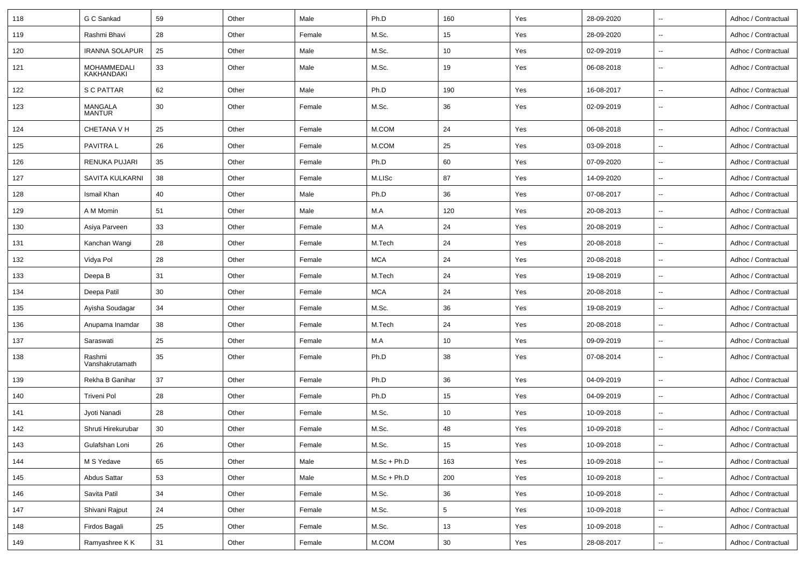| 118 | G C Sankad                | 59 | Other | Male   | Ph.D          | 160             | Yes | 28-09-2020 | ц.                       | Adhoc / Contractual |
|-----|---------------------------|----|-------|--------|---------------|-----------------|-----|------------|--------------------------|---------------------|
| 119 | Rashmi Bhavi              | 28 | Other | Female | M.Sc.         | 15              | Yes | 28-09-2020 | ⊷.                       | Adhoc / Contractual |
| 120 | <b>IRANNA SOLAPUR</b>     | 25 | Other | Male   | M.Sc.         | 10              | Yes | 02-09-2019 | Ξ.                       | Adhoc / Contractual |
| 121 | MOHAMMEDALI<br>KAKHANDAKI | 33 | Other | Male   | M.Sc.         | 19              | Yes | 06-08-2018 | ٠.                       | Adhoc / Contractual |
| 122 | <b>S C PATTAR</b>         | 62 | Other | Male   | Ph.D          | 190             | Yes | 16-08-2017 | ٠.                       | Adhoc / Contractual |
| 123 | MANGALA<br><b>MANTUR</b>  | 30 | Other | Female | M.Sc.         | 36              | Yes | 02-09-2019 | --                       | Adhoc / Contractual |
| 124 | <b>CHETANA V H</b>        | 25 | Other | Female | M.COM         | 24              | Yes | 06-08-2018 | Ξ.                       | Adhoc / Contractual |
| 125 | PAVITRA L                 | 26 | Other | Female | M.COM         | 25              | Yes | 03-09-2018 | $\ddotsc$                | Adhoc / Contractual |
| 126 | <b>RENUKA PUJARI</b>      | 35 | Other | Female | Ph.D          | 60              | Yes | 07-09-2020 | Ξ.                       | Adhoc / Contractual |
| 127 | SAVITA KULKARNI           | 38 | Other | Female | M.LISc        | 87              | Yes | 14-09-2020 | $\overline{a}$           | Adhoc / Contractual |
| 128 | Ismail Khan               | 40 | Other | Male   | Ph.D          | 36              | Yes | 07-08-2017 | --                       | Adhoc / Contractual |
| 129 | A M Momin                 | 51 | Other | Male   | M.A           | 120             | Yes | 20-08-2013 | --                       | Adhoc / Contractual |
| 130 | Asiya Parveen             | 33 | Other | Female | M.A           | 24              | Yes | 20-08-2019 | --                       | Adhoc / Contractual |
| 131 | Kanchan Wangi             | 28 | Other | Female | M.Tech        | 24              | Yes | 20-08-2018 | $\ddotsc$                | Adhoc / Contractual |
| 132 | Vidya Pol                 | 28 | Other | Female | <b>MCA</b>    | 24              | Yes | 20-08-2018 | ц.                       | Adhoc / Contractual |
| 133 | Deepa B                   | 31 | Other | Female | M.Tech        | 24              | Yes | 19-08-2019 | ⊷.                       | Adhoc / Contractual |
| 134 | Deepa Patil               | 30 | Other | Female | MCA           | 24              | Yes | 20-08-2018 | --                       | Adhoc / Contractual |
| 135 | Ayisha Soudagar           | 34 | Other | Female | M.Sc.         | 36              | Yes | 19-08-2019 | ٠.                       | Adhoc / Contractual |
| 136 | Anupama Inamdar           | 38 | Other | Female | M.Tech        | 24              | Yes | 20-08-2018 | $\sim$                   | Adhoc / Contractual |
| 137 | Saraswati                 | 25 | Other | Female | M.A           | 10              | Yes | 09-09-2019 | $\sim$                   | Adhoc / Contractual |
| 138 | Rashmi<br>Vanshakrutamath | 35 | Other | Female | Ph.D          | 38              | Yes | 07-08-2014 | $\sim$                   | Adhoc / Contractual |
| 139 | Rekha B Ganihar           | 37 | Other | Female | Ph.D          | 36              | Yes | 04-09-2019 | ц.                       | Adhoc / Contractual |
| 140 | <b>Triveni Pol</b>        | 28 | Other | Female | Ph.D          | 15              | Yes | 04-09-2019 | ۰.                       | Adhoc / Contractual |
| 141 | Jyoti Nanadi              | 28 | Other | Female | M.Sc.         | 10              | Yes | 10-09-2018 | --                       | Adhoc / Contractual |
| 142 | Shruti Hirekurubar        | 30 | Other | Female | M.Sc.         | 48              | Yes | 10-09-2018 |                          | Adhoc / Contractual |
| 143 | Gulafshan Loni            | 26 | Other | Female | M.Sc.         | $15\,$          | Yes | 10-09-2018 | $\overline{\phantom{a}}$ | Adhoc / Contractual |
| 144 | M S Yedave                | 65 | Other | Male   | $M.Sc + Ph.D$ | 163             | Yes | 10-09-2018 | $\ddotsc$                | Adhoc / Contractual |
| 145 | Abdus Sattar              | 53 | Other | Male   | $M.Sc + Ph.D$ | 200             | Yes | 10-09-2018 | Ξ.                       | Adhoc / Contractual |
| 146 | Savita Patil              | 34 | Other | Female | M.Sc.         | 36              | Yes | 10-09-2018 | ⊷.                       | Adhoc / Contractual |
| 147 | Shivani Rajput            | 24 | Other | Female | M.Sc.         | $5\phantom{.0}$ | Yes | 10-09-2018 | Ξ.                       | Adhoc / Contractual |
| 148 | Firdos Bagali             | 25 | Other | Female | M.Sc.         | 13              | Yes | 10-09-2018 | --                       | Adhoc / Contractual |
| 149 | Ramyashree KK             | 31 | Other | Female | M.COM         | $30\,$          | Yes | 28-08-2017 | --                       | Adhoc / Contractual |